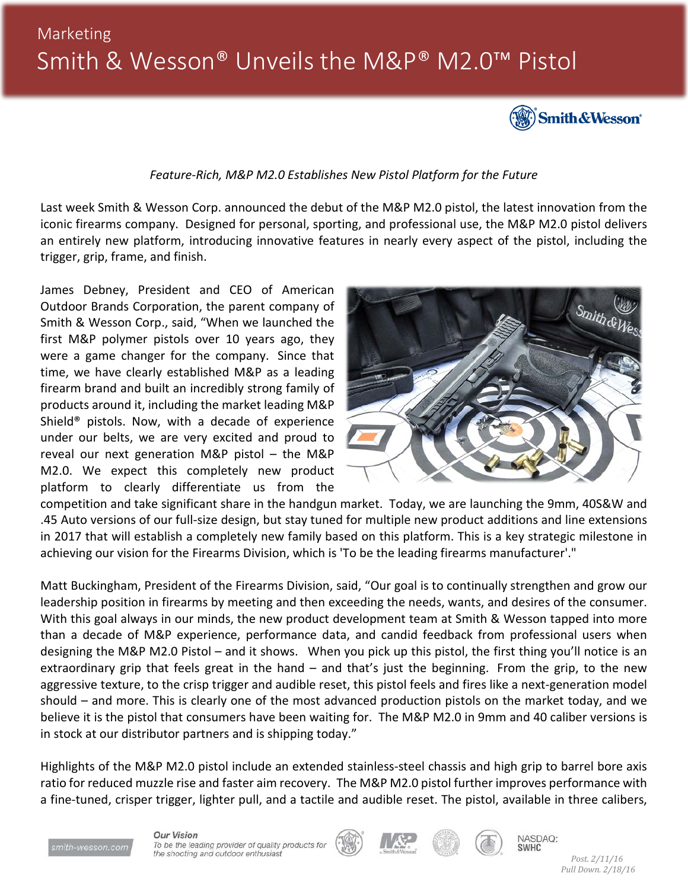# Marketing Smith & Wesson® Unveils the M&P® M2.0™ Pistol



#### *Feature-Rich, M&P M2.0 Establishes New Pistol Platform for the Future*

Last week Smith & Wesson Corp. announced the debut of the M&P M2.0 pistol, the latest innovation from the iconic firearms company. Designed for personal, sporting, and professional use, the M&P M2.0 pistol delivers an entirely new platform, introducing innovative features in nearly every aspect of the pistol, including the trigger, grip, frame, and finish.

James Debney, President and CEO of American Outdoor Brands Corporation, the parent company of Smith & Wesson Corp., said, "When we launched the first M&P polymer pistols over 10 years ago, they were a game changer for the company. Since that time, we have clearly established M&P as a leading firearm brand and built an incredibly strong family of products around it, including the market leading M&P Shield® pistols. Now, with a decade of experience under our belts, we are very excited and proud to reveal our next generation M&P pistol – the M&P M2.0. We expect this completely new product platform to clearly differentiate us from the



competition and take significant share in the handgun market. Today, we are launching the 9mm, 40S&W and .45 Auto versions of our full-size design, but stay tuned for multiple new product additions and line extensions in 2017 that will establish a completely new family based on this platform. This is a key strategic milestone in achieving our vision for the Firearms Division, which is 'To be the leading firearms manufacturer'."

Matt Buckingham, President of the Firearms Division, said, "Our goal is to continually strengthen and grow our leadership position in firearms by meeting and then exceeding the needs, wants, and desires of the consumer. With this goal always in our minds, the new product development team at Smith & Wesson tapped into more than a decade of M&P experience, performance data, and candid feedback from professional users when designing the M&P M2.0 Pistol – and it shows. When you pick up this pistol, the first thing you'll notice is an extraordinary grip that feels great in the hand – and that's just the beginning. From the grip, to the new aggressive texture, to the crisp trigger and audible reset, this pistol feels and fires like a next-generation model should – and more. This is clearly one of the most advanced production pistols on the market today, and we believe it is the pistol that consumers have been waiting for. The M&P M2.0 in 9mm and 40 caliber versions is in stock at our distributor partners and is shipping today."

Highlights of the M&P M2.0 pistol include an extended stainless-steel chassis and high grip to barrel bore axis ratio for reduced muzzle rise and faster aim recovery. The M&P M2.0 pistol further improves performance with a fine-tuned, crisper trigger, lighter pull, and a tactile and audible reset. The pistol, available in three calibers,



**Our Vision** To be the leading provider of quality products for the shooting and outdoor enthusiast









NASDAQ: **SWHC**